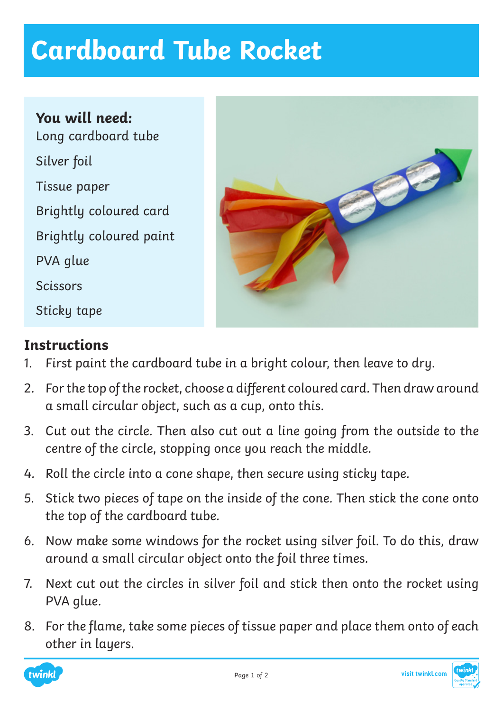## **Cardboard Tube Rocket**

**You will need:** Long cardboard tube Silver foil Tissue paper Brightly coloured card Brightly coloured paint PVA glue **Scissors** Sticky tape



## **Instructions**

- 1. First paint the cardboard tube in a bright colour, then leave to dry.
- 2. For the top of the rocket, choose a different coloured card. Then draw around a small circular object, such as a cup, onto this.
- 3. Cut out the circle. Then also cut out a line going from the outside to the centre of the circle, stopping once you reach the middle.
- 4. Roll the circle into a cone shape, then secure using sticky tape.
- 5. Stick two pieces of tape on the inside of the cone. Then stick the cone onto the top of the cardboard tube.
- 6. Now make some windows for the rocket using silver foil. To do this, draw around a small circular object onto the foil three times.
- 7. Next cut out the circles in silver foil and stick then onto the rocket using PVA glue.
- 8. For the flame, take some pieces of tissue paper and place them onto of each other in layers.